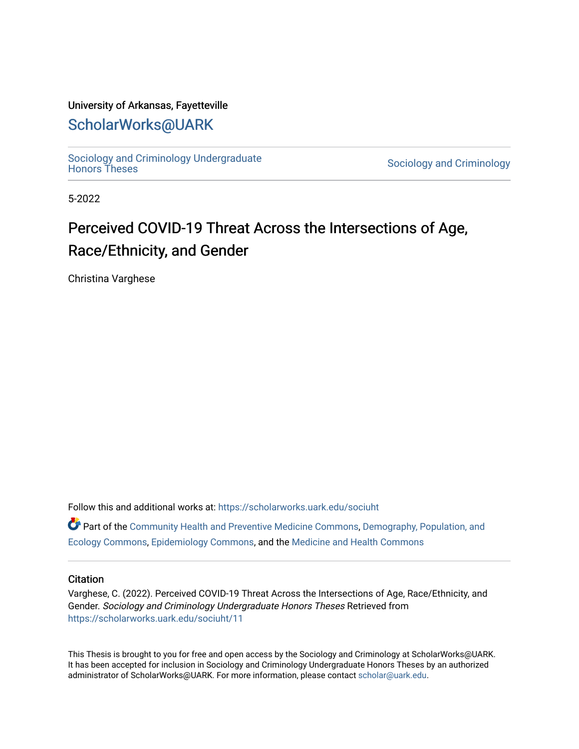#### University of Arkansas, Fayetteville

### [ScholarWorks@UARK](https://scholarworks.uark.edu/)

Sociology and Criminology Undergraduate<br>Honors Theses

Sociology and Criminology

5-2022

# Perceived COVID-19 Threat Across the Intersections of Age, Race/Ethnicity, and Gender

Christina Varghese

Follow this and additional works at: [https://scholarworks.uark.edu/sociuht](https://scholarworks.uark.edu/sociuht?utm_source=scholarworks.uark.edu%2Fsociuht%2F11&utm_medium=PDF&utm_campaign=PDFCoverPages) 

Part of the [Community Health and Preventive Medicine Commons](http://network.bepress.com/hgg/discipline/744?utm_source=scholarworks.uark.edu%2Fsociuht%2F11&utm_medium=PDF&utm_campaign=PDFCoverPages), [Demography, Population, and](http://network.bepress.com/hgg/discipline/418?utm_source=scholarworks.uark.edu%2Fsociuht%2F11&utm_medium=PDF&utm_campaign=PDFCoverPages)  [Ecology Commons,](http://network.bepress.com/hgg/discipline/418?utm_source=scholarworks.uark.edu%2Fsociuht%2F11&utm_medium=PDF&utm_campaign=PDFCoverPages) [Epidemiology Commons,](http://network.bepress.com/hgg/discipline/740?utm_source=scholarworks.uark.edu%2Fsociuht%2F11&utm_medium=PDF&utm_campaign=PDFCoverPages) and the [Medicine and Health Commons](http://network.bepress.com/hgg/discipline/422?utm_source=scholarworks.uark.edu%2Fsociuht%2F11&utm_medium=PDF&utm_campaign=PDFCoverPages)

#### **Citation**

Varghese, C. (2022). Perceived COVID-19 Threat Across the Intersections of Age, Race/Ethnicity, and Gender. Sociology and Criminology Undergraduate Honors Theses Retrieved from [https://scholarworks.uark.edu/sociuht/11](https://scholarworks.uark.edu/sociuht/11?utm_source=scholarworks.uark.edu%2Fsociuht%2F11&utm_medium=PDF&utm_campaign=PDFCoverPages) 

This Thesis is brought to you for free and open access by the Sociology and Criminology at ScholarWorks@UARK. It has been accepted for inclusion in Sociology and Criminology Undergraduate Honors Theses by an authorized administrator of ScholarWorks@UARK. For more information, please contact [scholar@uark.edu](mailto:scholar@uark.edu).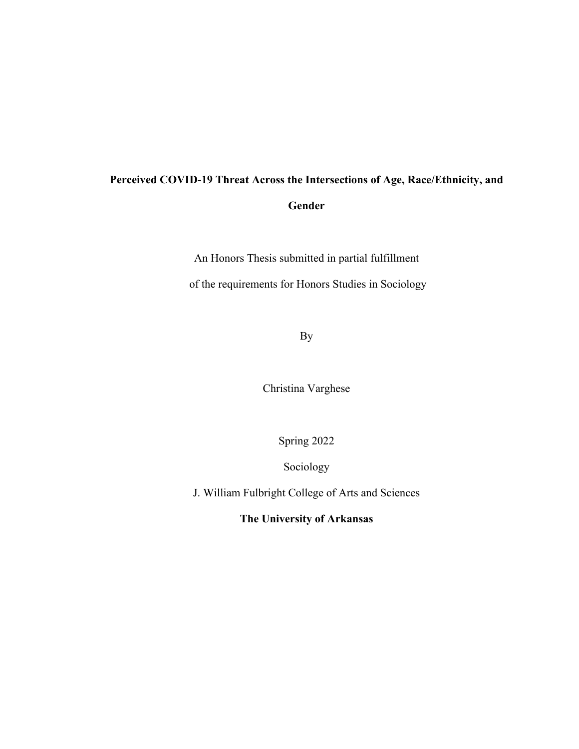# **Perceived COVID-19 Threat Across the Intersections of Age, Race/Ethnicity, and Gender**

An Honors Thesis submitted in partial fulfillment

of the requirements for Honors Studies in Sociology

By

Christina Varghese

Spring 2022

Sociology

J. William Fulbright College of Arts and Sciences

**The University of Arkansas**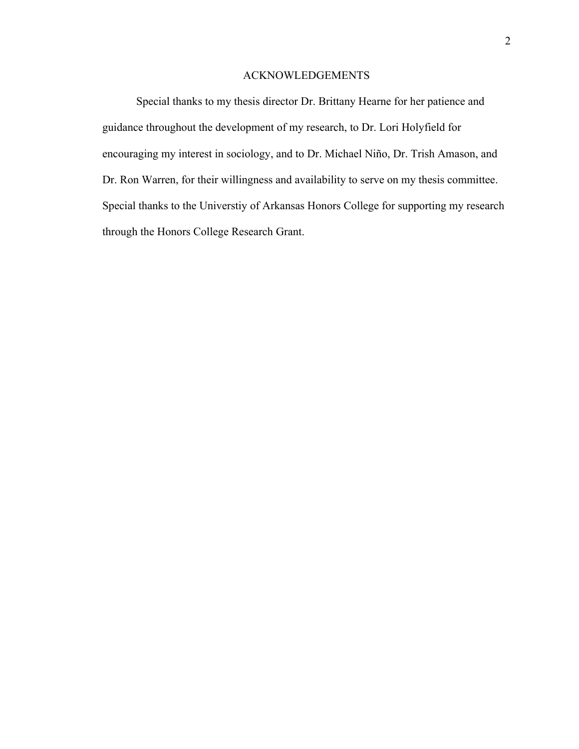#### ACKNOWLEDGEMENTS

Special thanks to my thesis director Dr. Brittany Hearne for her patience and guidance throughout the development of my research, to Dr. Lori Holyfield for encouraging my interest in sociology, and to Dr. Michael Niño, Dr. Trish Amason, and Dr. Ron Warren, for their willingness and availability to serve on my thesis committee. Special thanks to the Universtiy of Arkansas Honors College for supporting my research through the Honors College Research Grant.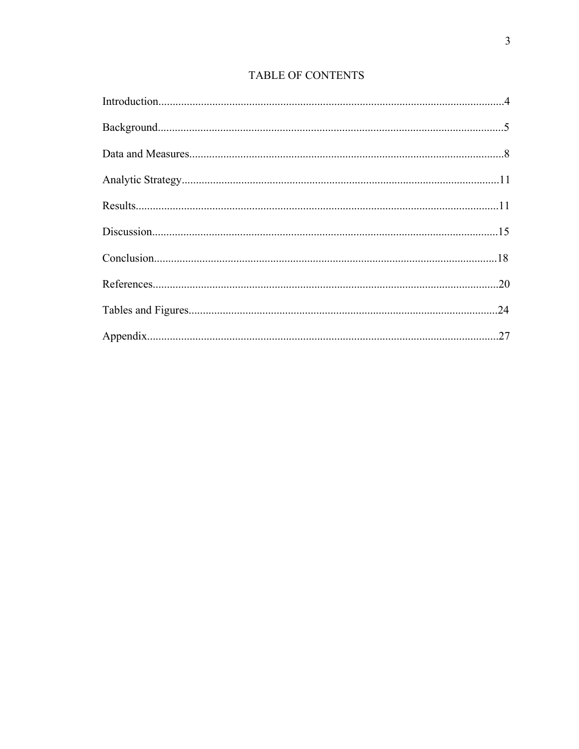### TABLE OF CONTENTS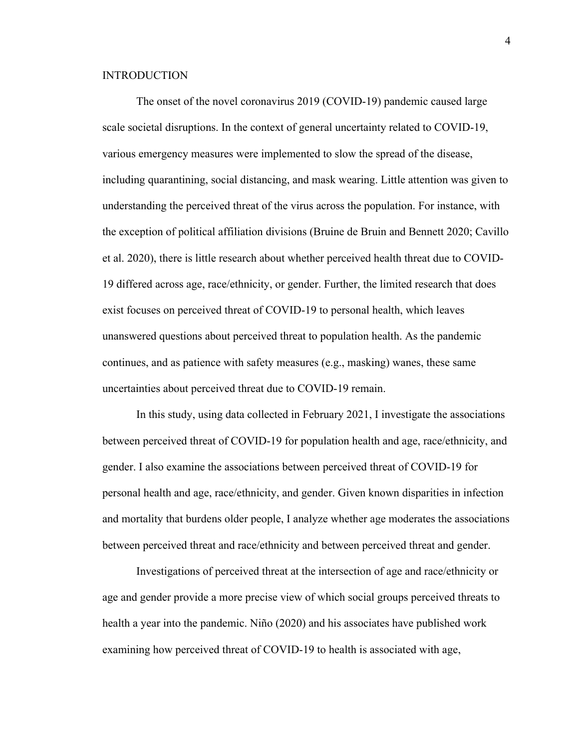#### **INTRODUCTION**

The onset of the novel coronavirus 2019 (COVID-19) pandemic caused large scale societal disruptions. In the context of general uncertainty related to COVID-19, various emergency measures were implemented to slow the spread of the disease, including quarantining, social distancing, and mask wearing. Little attention was given to understanding the perceived threat of the virus across the population. For instance, with the exception of political affiliation divisions (Bruine de Bruin and Bennett 2020; Cavillo et al. 2020), there is little research about whether perceived health threat due to COVID-19 differed across age, race/ethnicity, or gender. Further, the limited research that does exist focuses on perceived threat of COVID-19 to personal health, which leaves unanswered questions about perceived threat to population health. As the pandemic continues, and as patience with safety measures (e.g., masking) wanes, these same uncertainties about perceived threat due to COVID-19 remain.

In this study, using data collected in February 2021, I investigate the associations between perceived threat of COVID-19 for population health and age, race/ethnicity, and gender. I also examine the associations between perceived threat of COVID-19 for personal health and age, race/ethnicity, and gender. Given known disparities in infection and mortality that burdens older people, I analyze whether age moderates the associations between perceived threat and race/ethnicity and between perceived threat and gender.

Investigations of perceived threat at the intersection of age and race/ethnicity or age and gender provide a more precise view of which social groups perceived threats to health a year into the pandemic. Niño (2020) and his associates have published work examining how perceived threat of COVID-19 to health is associated with age,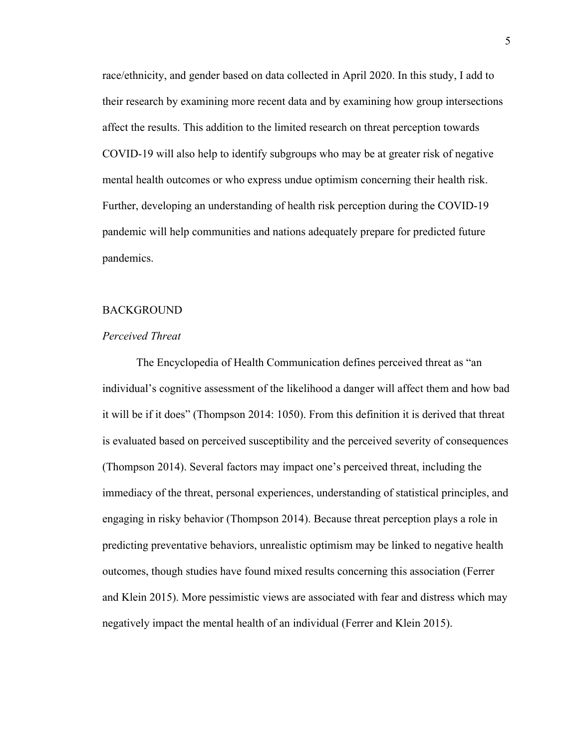race/ethnicity, and gender based on data collected in April 2020. In this study, I add to their research by examining more recent data and by examining how group intersections affect the results. This addition to the limited research on threat perception towards COVID-19 will also help to identify subgroups who may be at greater risk of negative mental health outcomes or who express undue optimism concerning their health risk. Further, developing an understanding of health risk perception during the COVID-19 pandemic will help communities and nations adequately prepare for predicted future pandemics.

#### BACKGROUND

#### *Perceived Threat*

The Encyclopedia of Health Communication defines perceived threat as "an individual's cognitive assessment of the likelihood a danger will affect them and how bad it will be if it does" (Thompson 2014: 1050). From this definition it is derived that threat is evaluated based on perceived susceptibility and the perceived severity of consequences (Thompson 2014). Several factors may impact one's perceived threat, including the immediacy of the threat, personal experiences, understanding of statistical principles, and engaging in risky behavior (Thompson 2014). Because threat perception plays a role in predicting preventative behaviors, unrealistic optimism may be linked to negative health outcomes, though studies have found mixed results concerning this association (Ferrer and Klein 2015). More pessimistic views are associated with fear and distress which may negatively impact the mental health of an individual (Ferrer and Klein 2015).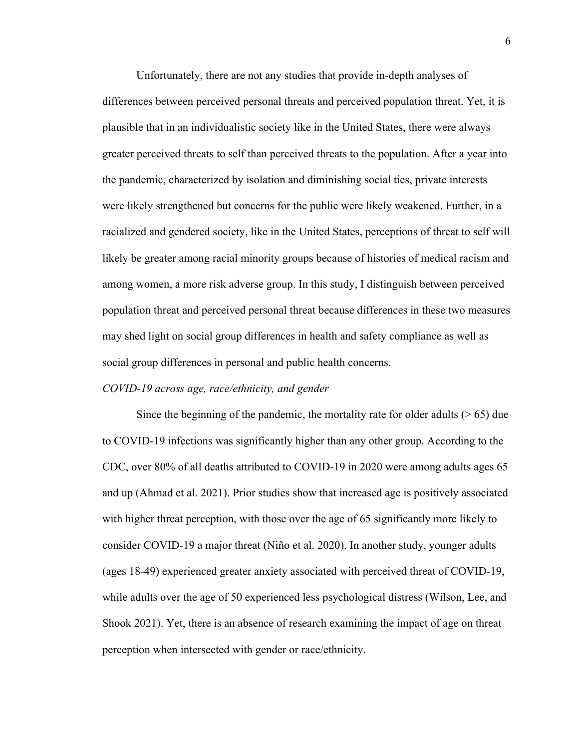Unfortunately, there are not any studies that provide in-depth analyses of differences between perceived personal threats and perceived population threat. Yet, it is plausible that in an individualistic society like in the United States, there were always greater perceived threats to self than perceived threats to the population. After a year into the pandemic, characterized by isolation and diminishing social ties, private interests were likely strengthened but concerns for the public were likely weakened. Further, in a racialized and gendered society, like in the United States, perceptions of threat to self will likely be greater among racial minority groups because of histories of medical racism and among women, a more risk adverse group. In this study, I distinguish between perceived population threat and perceived personal threat because differences in these two measures may shed light on social group differences in health and safety compliance as well as social group differences in personal and public health concerns.

#### *COVID-19 across age, race/ethnicity, and gender*

Since the beginning of the pandemic, the mortality rate for older adults  $($  > 65) due to COVID-19 infections was significantly higher than any other group. According to the CDC, over 80% of all deaths attributed to COVID-19 in 2020 were among adults ages 65 and up (Ahmad et al. 2021). Prior studies show that increased age is positively associated with higher threat perception, with those over the age of 65 significantly more likely to consider COVID-19 a major threat (Niño et al. 2020). In another study, younger adults (ages 18-49) experienced greater anxiety associated with perceived threat of COVID-19, while adults over the age of 50 experienced less psychological distress (Wilson, Lee, and Shook 2021). Yet, there is an absence of research examining the impact of age on threat perception when intersected with gender or race/ethnicity.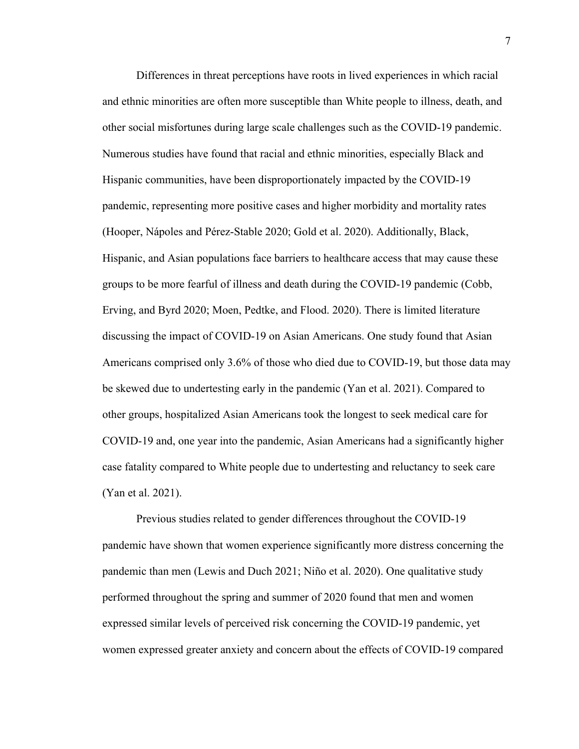Differences in threat perceptions have roots in lived experiences in which racial and ethnic minorities are often more susceptible than White people to illness, death, and other social misfortunes during large scale challenges such as the COVID-19 pandemic. Numerous studies have found that racial and ethnic minorities, especially Black and Hispanic communities, have been disproportionately impacted by the COVID-19 pandemic, representing more positive cases and higher morbidity and mortality rates (Hooper, Nápoles and Pérez-Stable 2020; Gold et al. 2020). Additionally, Black, Hispanic, and Asian populations face barriers to healthcare access that may cause these groups to be more fearful of illness and death during the COVID-19 pandemic (Cobb, Erving, and Byrd 2020; Moen, Pedtke, and Flood. 2020). There is limited literature discussing the impact of COVID-19 on Asian Americans. One study found that Asian Americans comprised only 3.6% of those who died due to COVID-19, but those data may be skewed due to undertesting early in the pandemic (Yan et al. 2021). Compared to other groups, hospitalized Asian Americans took the longest to seek medical care for COVID-19 and, one year into the pandemic, Asian Americans had a significantly higher case fatality compared to White people due to undertesting and reluctancy to seek care (Yan et al. 2021).

Previous studies related to gender differences throughout the COVID-19 pandemic have shown that women experience significantly more distress concerning the pandemic than men (Lewis and Duch 2021; Niño et al. 2020). One qualitative study performed throughout the spring and summer of 2020 found that men and women expressed similar levels of perceived risk concerning the COVID-19 pandemic, yet women expressed greater anxiety and concern about the effects of COVID-19 compared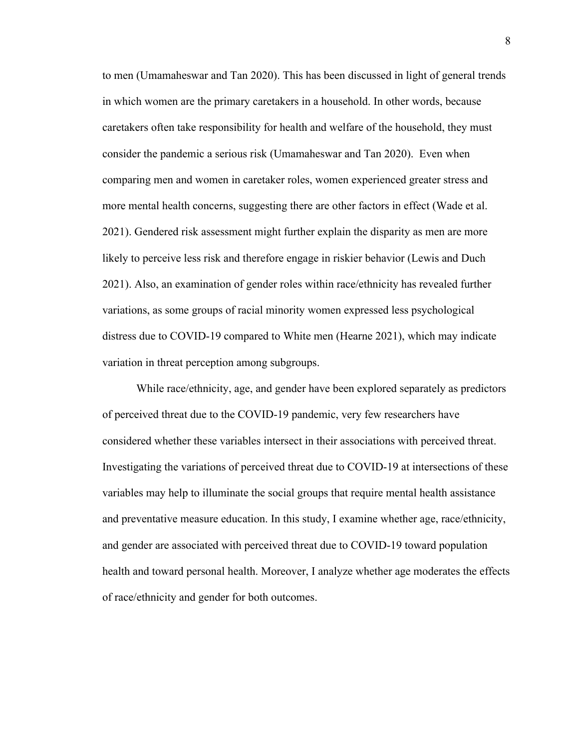to men (Umamaheswar and Tan 2020). This has been discussed in light of general trends in which women are the primary caretakers in a household. In other words, because caretakers often take responsibility for health and welfare of the household, they must consider the pandemic a serious risk (Umamaheswar and Tan 2020). Even when comparing men and women in caretaker roles, women experienced greater stress and more mental health concerns, suggesting there are other factors in effect (Wade et al. 2021). Gendered risk assessment might further explain the disparity as men are more likely to perceive less risk and therefore engage in riskier behavior (Lewis and Duch 2021). Also, an examination of gender roles within race/ethnicity has revealed further variations, as some groups of racial minority women expressed less psychological distress due to COVID-19 compared to White men (Hearne 2021), which may indicate variation in threat perception among subgroups.

While race/ethnicity, age, and gender have been explored separately as predictors of perceived threat due to the COVID-19 pandemic, very few researchers have considered whether these variables intersect in their associations with perceived threat. Investigating the variations of perceived threat due to COVID-19 at intersections of these variables may help to illuminate the social groups that require mental health assistance and preventative measure education. In this study, I examine whether age, race/ethnicity, and gender are associated with perceived threat due to COVID-19 toward population health and toward personal health. Moreover, I analyze whether age moderates the effects of race/ethnicity and gender for both outcomes.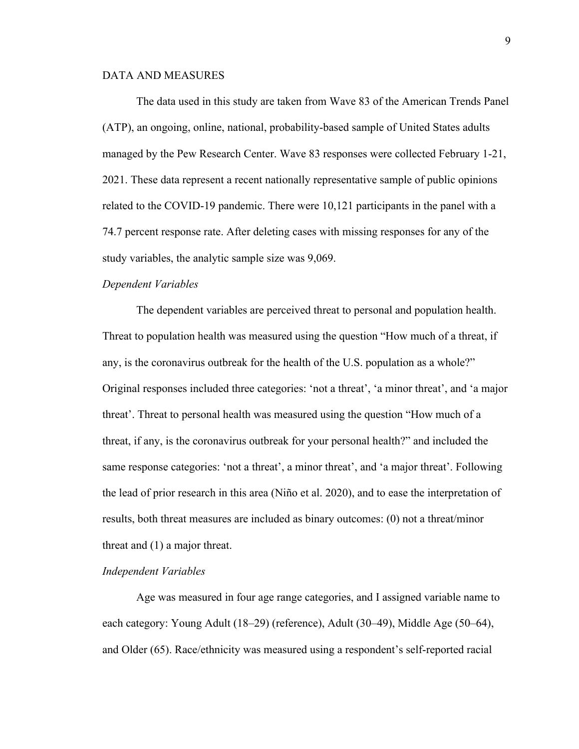#### DATA AND MEASURES

The data used in this study are taken from Wave 83 of the American Trends Panel (ATP), an ongoing, online, national, probability-based sample of United States adults managed by the Pew Research Center. Wave 83 responses were collected February 1-21, 2021. These data represent a recent nationally representative sample of public opinions related to the COVID-19 pandemic. There were 10,121 participants in the panel with a 74.7 percent response rate. After deleting cases with missing responses for any of the study variables, the analytic sample size was 9,069.

#### *Dependent Variables*

The dependent variables are perceived threat to personal and population health. Threat to population health was measured using the question "How much of a threat, if any, is the coronavirus outbreak for the health of the U.S. population as a whole?" Original responses included three categories: 'not a threat', 'a minor threat', and 'a major threat'. Threat to personal health was measured using the question "How much of a threat, if any, is the coronavirus outbreak for your personal health?" and included the same response categories: 'not a threat', a minor threat', and 'a major threat'. Following the lead of prior research in this area (Niño et al. 2020), and to ease the interpretation of results, both threat measures are included as binary outcomes: (0) not a threat/minor threat and (1) a major threat.

#### *Independent Variables*

Age was measured in four age range categories, and I assigned variable name to each category: Young Adult (18–29) (reference), Adult (30–49), Middle Age (50–64), and Older (65). Race/ethnicity was measured using a respondent's self-reported racial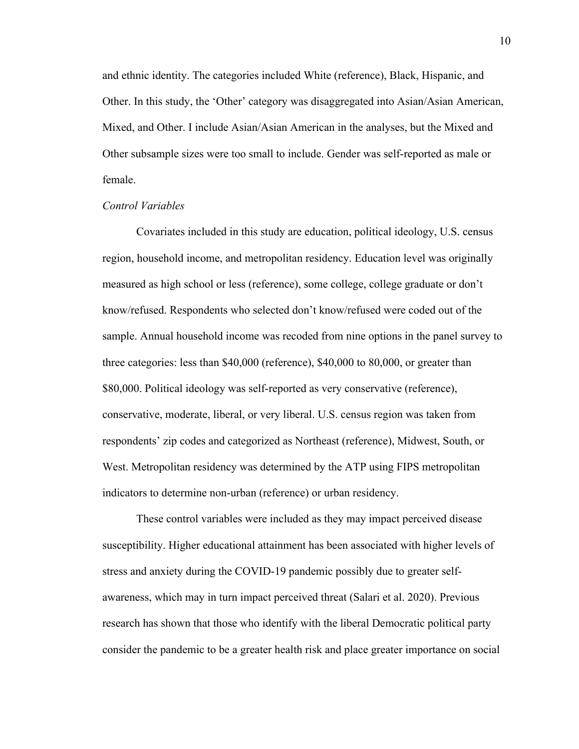and ethnic identity. The categories included White (reference), Black, Hispanic, and Other. In this study, the 'Other' category was disaggregated into Asian/Asian American, Mixed, and Other. I include Asian/Asian American in the analyses, but the Mixed and Other subsample sizes were too small to include. Gender was self-reported as male or female.

#### *Control Variables*

Covariates included in this study are education, political ideology, U.S. census region, household income, and metropolitan residency. Education level was originally measured as high school or less (reference), some college, college graduate or don't know/refused. Respondents who selected don't know/refused were coded out of the sample. Annual household income was recoded from nine options in the panel survey to three categories: less than \$40,000 (reference), \$40,000 to 80,000, or greater than \$80,000. Political ideology was self-reported as very conservative (reference), conservative, moderate, liberal, or very liberal. U.S. census region was taken from respondents' zip codes and categorized as Northeast (reference), Midwest, South, or West. Metropolitan residency was determined by the ATP using FIPS metropolitan indicators to determine non-urban (reference) or urban residency.

These control variables were included as they may impact perceived disease susceptibility. Higher educational attainment has been associated with higher levels of stress and anxiety during the COVID-19 pandemic possibly due to greater selfawareness, which may in turn impact perceived threat (Salari et al. 2020). Previous research has shown that those who identify with the liberal Democratic political party consider the pandemic to be a greater health risk and place greater importance on social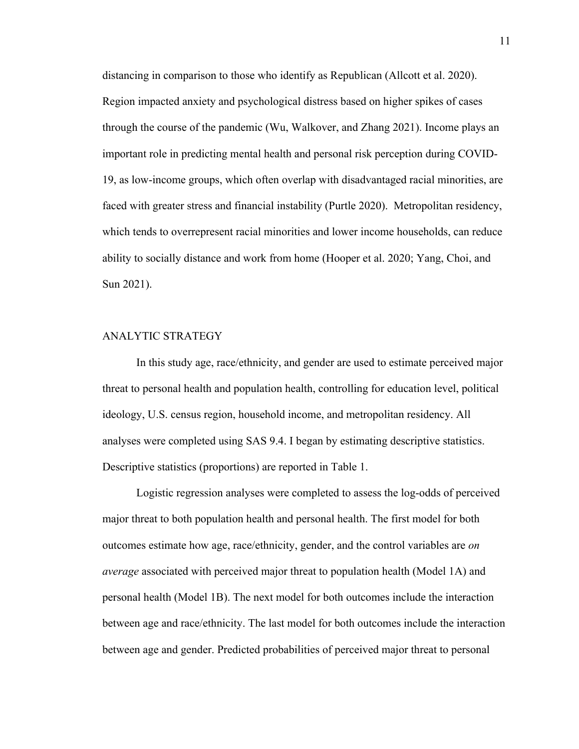distancing in comparison to those who identify as Republican (Allcott et al. 2020). Region impacted anxiety and psychological distress based on higher spikes of cases through the course of the pandemic (Wu, Walkover, and Zhang 2021). Income plays an important role in predicting mental health and personal risk perception during COVID-19, as low-income groups, which often overlap with disadvantaged racial minorities, are faced with greater stress and financial instability (Purtle 2020). Metropolitan residency, which tends to overrepresent racial minorities and lower income households, can reduce ability to socially distance and work from home (Hooper et al. 2020; Yang, Choi, and Sun 2021).

#### ANALYTIC STRATEGY

In this study age, race/ethnicity, and gender are used to estimate perceived major threat to personal health and population health, controlling for education level, political ideology, U.S. census region, household income, and metropolitan residency. All analyses were completed using SAS 9.4. I began by estimating descriptive statistics. Descriptive statistics (proportions) are reported in Table 1.

Logistic regression analyses were completed to assess the log-odds of perceived major threat to both population health and personal health. The first model for both outcomes estimate how age, race/ethnicity, gender, and the control variables are *on average* associated with perceived major threat to population health (Model 1A) and personal health (Model 1B). The next model for both outcomes include the interaction between age and race/ethnicity. The last model for both outcomes include the interaction between age and gender. Predicted probabilities of perceived major threat to personal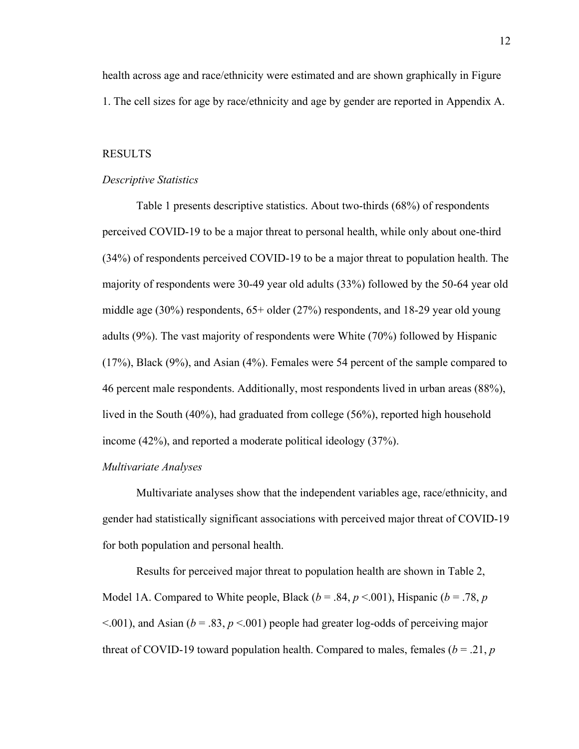health across age and race/ethnicity were estimated and are shown graphically in Figure 1. The cell sizes for age by race/ethnicity and age by gender are reported in Appendix A.

#### RESULTS

#### *Descriptive Statistics*

Table 1 presents descriptive statistics. About two-thirds (68%) of respondents perceived COVID-19 to be a major threat to personal health, while only about one-third (34%) of respondents perceived COVID-19 to be a major threat to population health. The majority of respondents were 30-49 year old adults (33%) followed by the 50-64 year old middle age (30%) respondents, 65+ older (27%) respondents, and 18-29 year old young adults (9%). The vast majority of respondents were White (70%) followed by Hispanic (17%), Black (9%), and Asian (4%). Females were 54 percent of the sample compared to 46 percent male respondents. Additionally, most respondents lived in urban areas (88%), lived in the South (40%), had graduated from college (56%), reported high household income (42%), and reported a moderate political ideology (37%).

#### *Multivariate Analyses*

Multivariate analyses show that the independent variables age, race/ethnicity, and gender had statistically significant associations with perceived major threat of COVID-19 for both population and personal health.

Results for perceived major threat to population health are shown in Table 2, Model 1A. Compared to White people, Black  $(b = .84, p < .001)$ , Hispanic  $(b = .78, p$  $\leq$ .001), and Asian ( $b = .83$ ,  $p \leq$ .001) people had greater log-odds of perceiving major threat of COVID-19 toward population health. Compared to males, females ( $b = .21$ ,  $p$ )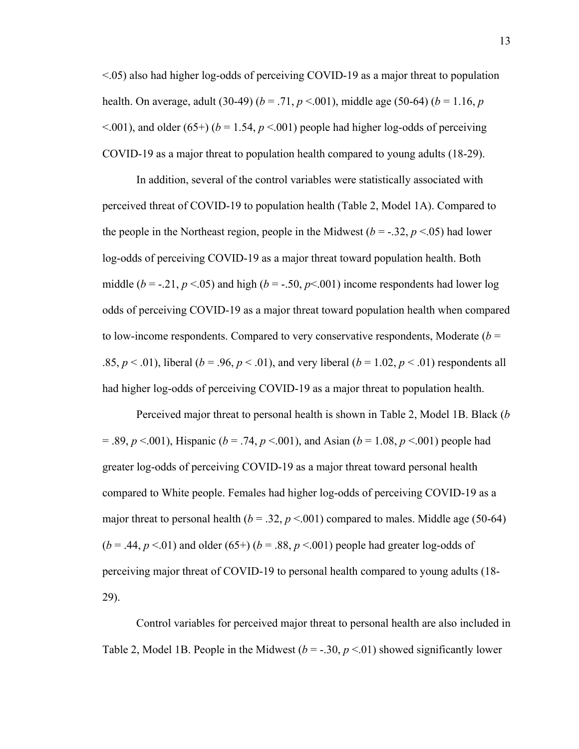<.05) also had higher log-odds of perceiving COVID-19 as a major threat to population health. On average, adult (30-49) (*b* = .71, *p* <.001), middle age (50-64) (*b* = 1.16, *p*  $\leq$ .001), and older (65+) ( $b = 1.54$ ,  $p \leq$ .001) people had higher log-odds of perceiving COVID-19 as a major threat to population health compared to young adults (18-29).

In addition, several of the control variables were statistically associated with perceived threat of COVID-19 to population health (Table 2, Model 1A). Compared to the people in the Northeast region, people in the Midwest  $(b = -.32, p < .05)$  had lower log-odds of perceiving COVID-19 as a major threat toward population health. Both middle ( $b = -0.21$ ,  $p < 0.05$ ) and high ( $b = -0.50$ ,  $p < 0.001$ ) income respondents had lower log odds of perceiving COVID-19 as a major threat toward population health when compared to low-income respondents. Compared to very conservative respondents, Moderate  $(b =$ .85,  $p < .01$ ), liberal ( $b = .96$ ,  $p < .01$ ), and very liberal ( $b = 1.02$ ,  $p < .01$ ) respondents all had higher log-odds of perceiving COVID-19 as a major threat to population health.

Perceived major threat to personal health is shown in Table 2, Model 1B. Black (*b* = .89, *p* <.001), Hispanic (*b* = .74, *p* <.001), and Asian (*b* = 1.08, *p* <.001) people had greater log-odds of perceiving COVID-19 as a major threat toward personal health compared to White people. Females had higher log-odds of perceiving COVID-19 as a major threat to personal health ( $b = .32$ ,  $p < .001$ ) compared to males. Middle age (50-64)  $(b = .44, p < .01)$  and older  $(65+)$   $(b = .88, p < .001)$  people had greater log-odds of perceiving major threat of COVID-19 to personal health compared to young adults (18- 29).

Control variables for perceived major threat to personal health are also included in Table 2, Model 1B. People in the Midwest  $(b = -0.30, p \le 0.01)$  showed significantly lower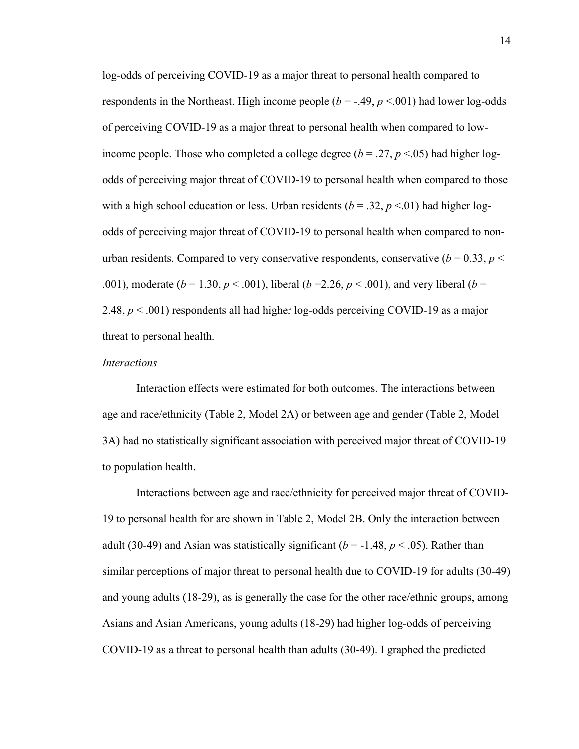log-odds of perceiving COVID-19 as a major threat to personal health compared to respondents in the Northeast. High income people  $(b = -0.49, p < 0.001)$  had lower log-odds of perceiving COVID-19 as a major threat to personal health when compared to lowincome people. Those who completed a college degree ( $b = .27$ ,  $p < .05$ ) had higher logodds of perceiving major threat of COVID-19 to personal health when compared to those with a high school education or less. Urban residents ( $b = .32$ ,  $p < .01$ ) had higher logodds of perceiving major threat of COVID-19 to personal health when compared to nonurban residents. Compared to very conservative respondents, conservative ( $b = 0.33$ ,  $p <$ .001), moderate ( $b = 1.30, p < .001$ ), liberal ( $b = 2.26, p < .001$ ), and very liberal ( $b =$ 2.48,  $p < .001$ ) respondents all had higher log-odds perceiving COVID-19 as a major threat to personal health.

#### *Interactions*

Interaction effects were estimated for both outcomes. The interactions between age and race/ethnicity (Table 2, Model 2A) or between age and gender (Table 2, Model 3A) had no statistically significant association with perceived major threat of COVID-19 to population health.

Interactions between age and race/ethnicity for perceived major threat of COVID-19 to personal health for are shown in Table 2, Model 2B. Only the interaction between adult (30-49) and Asian was statistically significant ( $b = -1.48$ ,  $p < .05$ ). Rather than similar perceptions of major threat to personal health due to COVID-19 for adults (30-49) and young adults (18-29), as is generally the case for the other race/ethnic groups, among Asians and Asian Americans, young adults (18-29) had higher log-odds of perceiving COVID-19 as a threat to personal health than adults (30-49). I graphed the predicted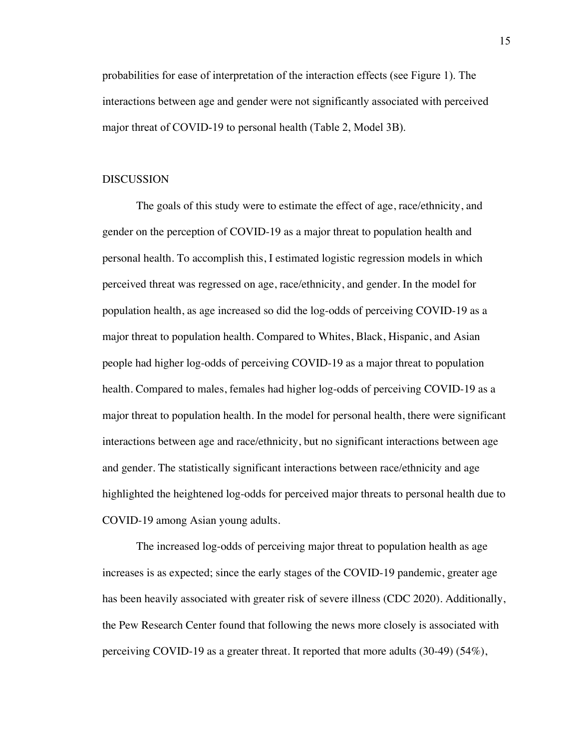probabilities for ease of interpretation of the interaction effects (see Figure 1). The interactions between age and gender were not significantly associated with perceived major threat of COVID-19 to personal health (Table 2, Model 3B).

#### **DISCUSSION**

The goals of this study were to estimate the effect of age, race/ethnicity, and gender on the perception of COVID-19 as a major threat to population health and personal health. To accomplish this, I estimated logistic regression models in which perceived threat was regressed on age, race/ethnicity, and gender. In the model for population health, as age increased so did the log-odds of perceiving COVID-19 as a major threat to population health. Compared to Whites, Black, Hispanic, and Asian people had higher log-odds of perceiving COVID-19 as a major threat to population health. Compared to males, females had higher log-odds of perceiving COVID-19 as a major threat to population health. In the model for personal health, there were significant interactions between age and race/ethnicity, but no significant interactions between age and gender. The statistically significant interactions between race/ethnicity and age highlighted the heightened log-odds for perceived major threats to personal health due to COVID-19 among Asian young adults.

The increased log-odds of perceiving major threat to population health as age increases is as expected; since the early stages of the COVID-19 pandemic, greater age has been heavily associated with greater risk of severe illness (CDC 2020). Additionally, the Pew Research Center found that following the news more closely is associated with perceiving COVID-19 as a greater threat. It reported that more adults (30-49) (54%),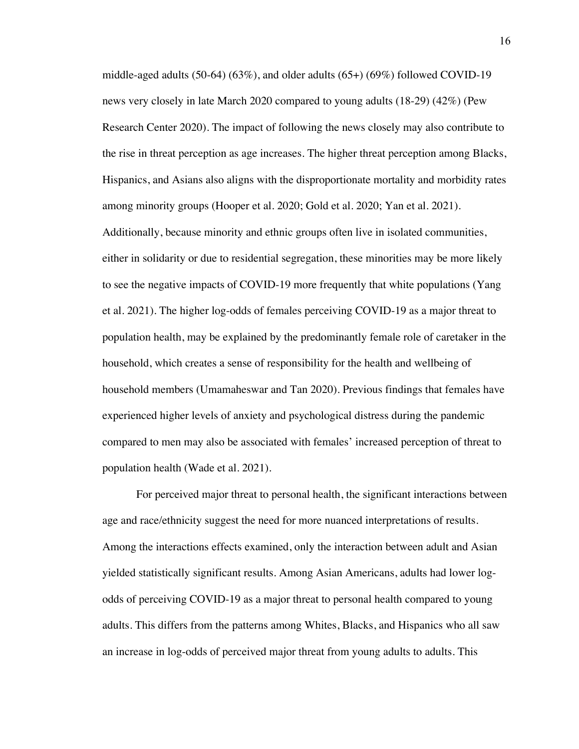middle-aged adults  $(50-64)$   $(63\%)$ , and older adults  $(65+)$   $(69\%)$  followed COVID-19 news very closely in late March 2020 compared to young adults (18-29) (42%) (Pew Research Center 2020). The impact of following the news closely may also contribute to the rise in threat perception as age increases. The higher threat perception among Blacks, Hispanics, and Asians also aligns with the disproportionate mortality and morbidity rates among minority groups (Hooper et al. 2020; Gold et al. 2020; Yan et al. 2021).

Additionally, because minority and ethnic groups often live in isolated communities, either in solidarity or due to residential segregation, these minorities may be more likely to see the negative impacts of COVID-19 more frequently that white populations (Yang et al. 2021). The higher log-odds of females perceiving COVID-19 as a major threat to population health, may be explained by the predominantly female role of caretaker in the household, which creates a sense of responsibility for the health and wellbeing of household members (Umamaheswar and Tan 2020). Previous findings that females have experienced higher levels of anxiety and psychological distress during the pandemic compared to men may also be associated with females' increased perception of threat to population health (Wade et al. 2021).

For perceived major threat to personal health, the significant interactions between age and race/ethnicity suggest the need for more nuanced interpretations of results. Among the interactions effects examined, only the interaction between adult and Asian yielded statistically significant results. Among Asian Americans, adults had lower logodds of perceiving COVID-19 as a major threat to personal health compared to young adults. This differs from the patterns among Whites, Blacks, and Hispanics who all saw an increase in log-odds of perceived major threat from young adults to adults. This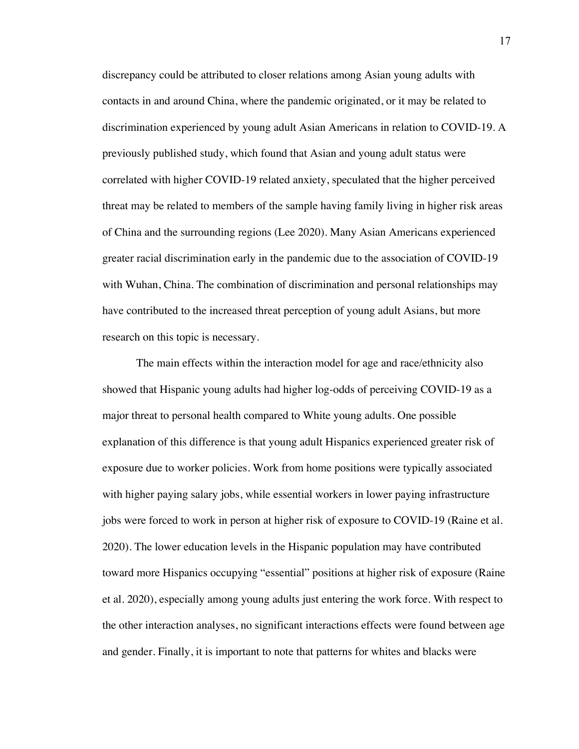discrepancy could be attributed to closer relations among Asian young adults with contacts in and around China, where the pandemic originated, or it may be related to discrimination experienced by young adult Asian Americans in relation to COVID-19. A previously published study, which found that Asian and young adult status were correlated with higher COVID-19 related anxiety, speculated that the higher perceived threat may be related to members of the sample having family living in higher risk areas of China and the surrounding regions (Lee 2020). Many Asian Americans experienced greater racial discrimination early in the pandemic due to the association of COVID-19 with Wuhan, China. The combination of discrimination and personal relationships may have contributed to the increased threat perception of young adult Asians, but more research on this topic is necessary.

The main effects within the interaction model for age and race/ethnicity also showed that Hispanic young adults had higher log-odds of perceiving COVID-19 as a major threat to personal health compared to White young adults. One possible explanation of this difference is that young adult Hispanics experienced greater risk of exposure due to worker policies. Work from home positions were typically associated with higher paying salary jobs, while essential workers in lower paying infrastructure jobs were forced to work in person at higher risk of exposure to COVID-19 (Raine et al. 2020). The lower education levels in the Hispanic population may have contributed toward more Hispanics occupying "essential" positions at higher risk of exposure (Raine et al. 2020), especially among young adults just entering the work force. With respect to the other interaction analyses, no significant interactions effects were found between age and gender. Finally, it is important to note that patterns for whites and blacks were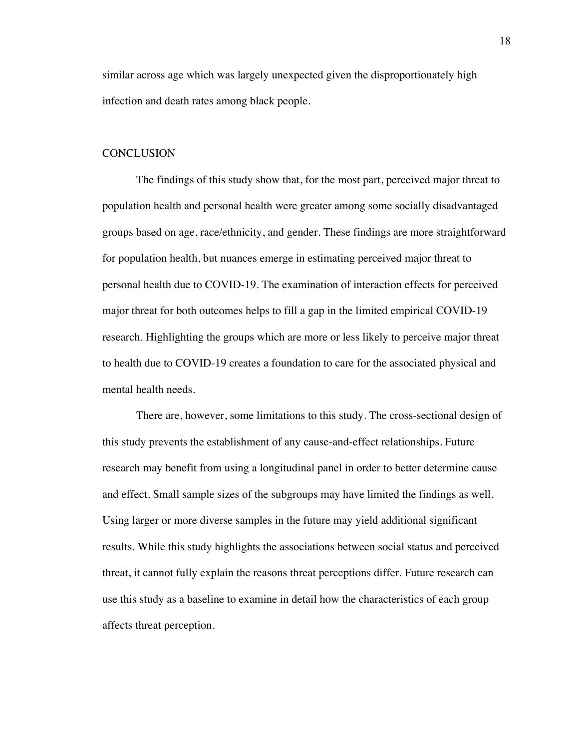similar across age which was largely unexpected given the disproportionately high infection and death rates among black people.

#### **CONCLUSION**

The findings of this study show that, for the most part, perceived major threat to population health and personal health were greater among some socially disadvantaged groups based on age, race/ethnicity, and gender. These findings are more straightforward for population health, but nuances emerge in estimating perceived major threat to personal health due to COVID-19. The examination of interaction effects for perceived major threat for both outcomes helps to fill a gap in the limited empirical COVID-19 research. Highlighting the groups which are more or less likely to perceive major threat to health due to COVID-19 creates a foundation to care for the associated physical and mental health needs.

There are, however, some limitations to this study. The cross-sectional design of this study prevents the establishment of any cause-and-effect relationships. Future research may benefit from using a longitudinal panel in order to better determine cause and effect. Small sample sizes of the subgroups may have limited the findings as well. Using larger or more diverse samples in the future may yield additional significant results. While this study highlights the associations between social status and perceived threat, it cannot fully explain the reasons threat perceptions differ. Future research can use this study as a baseline to examine in detail how the characteristics of each group affects threat perception.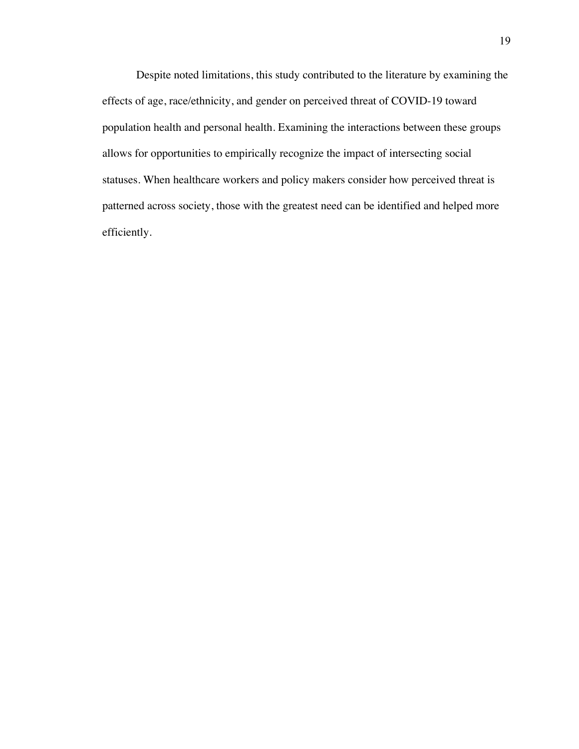Despite noted limitations, this study contributed to the literature by examining the effects of age, race/ethnicity, and gender on perceived threat of COVID-19 toward population health and personal health. Examining the interactions between these groups allows for opportunities to empirically recognize the impact of intersecting social statuses. When healthcare workers and policy makers consider how perceived threat is patterned across society, those with the greatest need can be identified and helped more efficiently.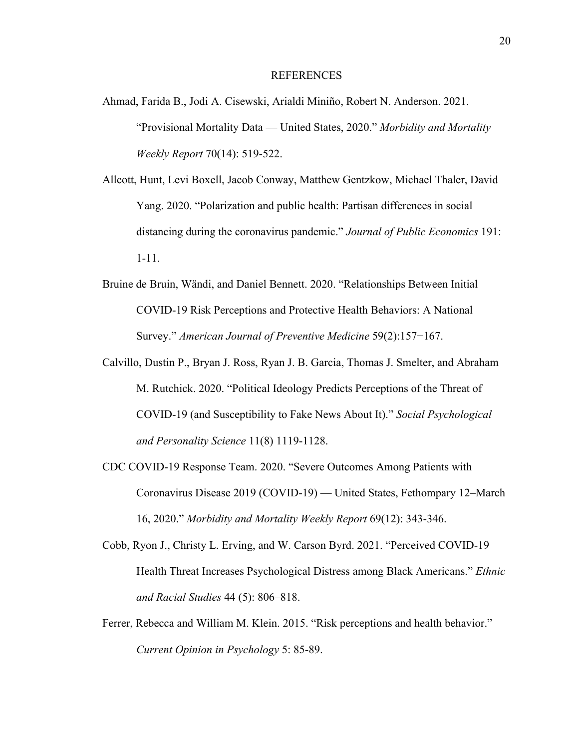#### **REFERENCES**

- Ahmad, Farida B., Jodi A. Cisewski, Arialdi Miniño, Robert N. Anderson. 2021. "Provisional Mortality Data — United States, 2020." *Morbidity and Mortality Weekly Report* 70(14): 519-522.
- Allcott, Hunt, Levi Boxell, Jacob Conway, Matthew Gentzkow, Michael Thaler, David Yang. 2020. "Polarization and public health: Partisan differences in social distancing during the coronavirus pandemic." *Journal of Public Economics* 191: 1-11.
- Bruine de Bruin, Wändi, and Daniel Bennett. 2020. "Relationships Between Initial COVID-19 Risk Perceptions and Protective Health Behaviors: A National Survey." *American Journal of Preventive Medicine* 59(2):157−167.
- Calvillo, Dustin P., Bryan J. Ross, Ryan J. B. Garcia, Thomas J. Smelter, and Abraham M. Rutchick. 2020. "Political Ideology Predicts Perceptions of the Threat of COVID-19 (and Susceptibility to Fake News About It)." *Social Psychological and Personality Science* 11(8) 1119-1128.
- CDC COVID-19 Response Team. 2020. "Severe Outcomes Among Patients with Coronavirus Disease 2019 (COVID-19) — United States, Fethompary 12–March 16, 2020." *Morbidity and Mortality Weekly Report* 69(12): 343-346.
- Cobb, Ryon J., Christy L. Erving, and W. Carson Byrd. 2021. "Perceived COVID-19 Health Threat Increases Psychological Distress among Black Americans." *Ethnic and Racial Studies* 44 (5): 806–818.
- Ferrer, Rebecca and William M. Klein. 2015. "Risk perceptions and health behavior." *Current Opinion in Psychology* 5: 85-89.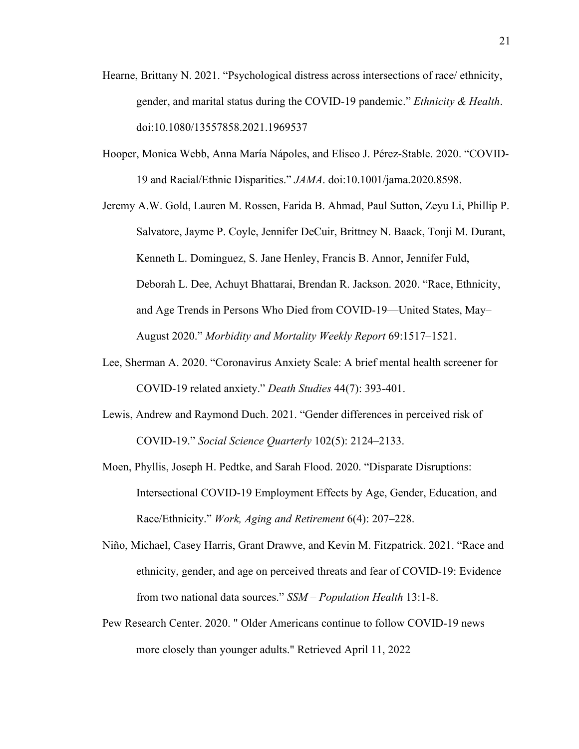- Hearne, Brittany N. 2021. "Psychological distress across intersections of race/ ethnicity, gender, and marital status during the COVID-19 pandemic." *Ethnicity & Health*. doi:10.1080/13557858.2021.1969537
- Hooper, Monica Webb, Anna María Nápoles, and Eliseo J. Pérez-Stable. 2020. "COVID-19 and Racial/Ethnic Disparities." *JAMA*. doi:10.1001/jama.2020.8598.
- Jeremy A.W. Gold, Lauren M. Rossen, Farida B. Ahmad, Paul Sutton, Zeyu Li, Phillip P. Salvatore, Jayme P. Coyle, Jennifer DeCuir, Brittney N. Baack, Tonji M. Durant, Kenneth L. Dominguez, S. Jane Henley, Francis B. Annor, Jennifer Fuld, Deborah L. Dee, Achuyt Bhattarai, Brendan R. Jackson. 2020. "Race, Ethnicity, and Age Trends in Persons Who Died from COVID-19—United States, May– August 2020." *Morbidity and Mortality Weekly Report* 69:1517–1521.
- Lee, Sherman A. 2020. "Coronavirus Anxiety Scale: A brief mental health screener for COVID-19 related anxiety." *Death Studies* 44(7): 393-401.
- Lewis, Andrew and Raymond Duch. 2021. "Gender differences in perceived risk of COVID-19." *Social Science Quarterly* 102(5): 2124–2133.
- Moen, Phyllis, Joseph H. Pedtke, and Sarah Flood. 2020. "Disparate Disruptions: Intersectional COVID-19 Employment Effects by Age, Gender, Education, and Race/Ethnicity." *Work, Aging and Retirement* 6(4): 207–228.
- Niño, Michael, Casey Harris, Grant Drawve, and Kevin M. Fitzpatrick. 2021. "Race and ethnicity, gender, and age on perceived threats and fear of COVID-19: Evidence from two national data sources." *SSM – Population Health* 13:1-8.
- Pew Research Center. 2020. " Older Americans continue to follow COVID-19 news more closely than younger adults." Retrieved April 11, 2022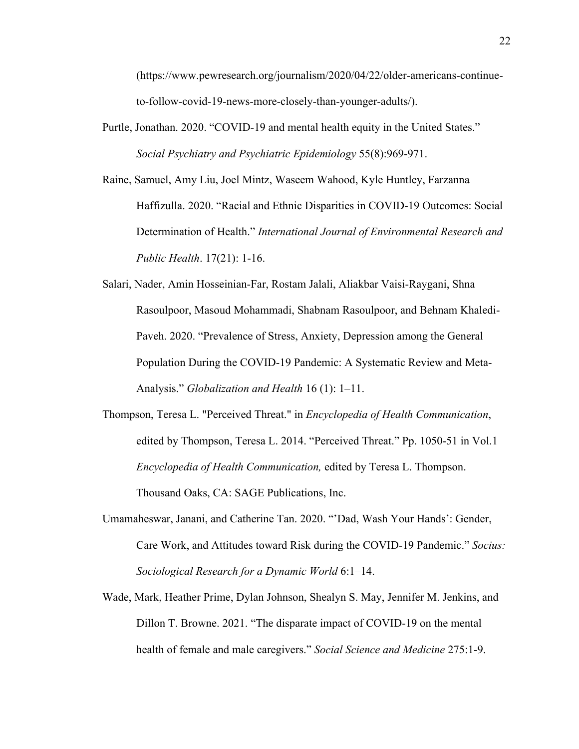(https://www.pewresearch.org/journalism/2020/04/22/older-americans-continueto-follow-covid-19-news-more-closely-than-younger-adults/).

- Purtle, Jonathan. 2020. "COVID-19 and mental health equity in the United States." *Social Psychiatry and Psychiatric Epidemiology* 55(8):969-971.
- Raine, Samuel, Amy Liu, Joel Mintz, Waseem Wahood, Kyle Huntley, Farzanna Haffizulla. 2020. "Racial and Ethnic Disparities in COVID-19 Outcomes: Social Determination of Health." *International Journal of Environmental Research and Public Health*. 17(21): 1-16.
- Salari, Nader, Amin Hosseinian-Far, Rostam Jalali, Aliakbar Vaisi-Raygani, Shna Rasoulpoor, Masoud Mohammadi, Shabnam Rasoulpoor, and Behnam Khaledi-Paveh. 2020. "Prevalence of Stress, Anxiety, Depression among the General Population During the COVID-19 Pandemic: A Systematic Review and Meta-Analysis." *Globalization and Health* 16 (1): 1–11.
- Thompson, Teresa L. "Perceived Threat." in *Encyclopedia of Health Communication*, edited by Thompson, Teresa L. 2014. "Perceived Threat." Pp. 1050-51 in Vol.1 *Encyclopedia of Health Communication,* edited by Teresa L. Thompson. Thousand Oaks, CA: SAGE Publications, Inc.
- Umamaheswar, Janani, and Catherine Tan. 2020. "'Dad, Wash Your Hands': Gender, Care Work, and Attitudes toward Risk during the COVID-19 Pandemic." *Socius: Sociological Research for a Dynamic World* 6:1–14.
- Wade, Mark, Heather Prime, Dylan Johnson, Shealyn S. May, Jennifer M. Jenkins, and Dillon T. Browne. 2021. "The disparate impact of COVID-19 on the mental health of female and male caregivers." *Social Science and Medicine* 275:1-9.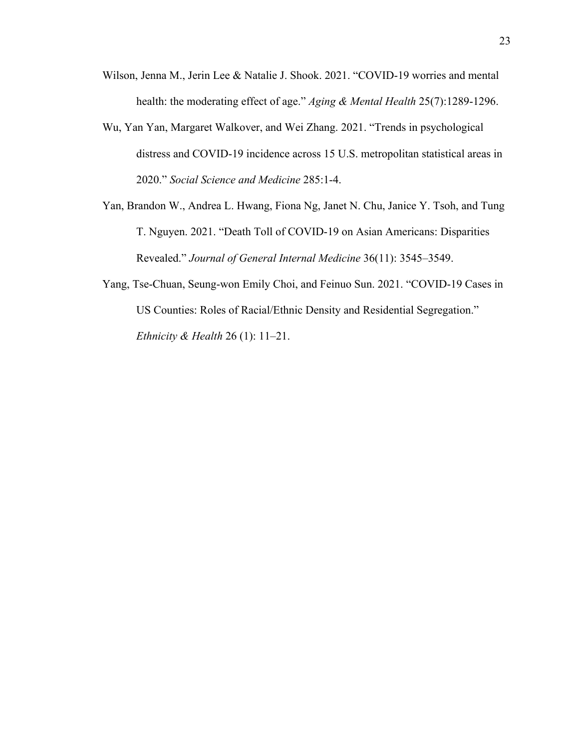- Wilson, Jenna M., Jerin Lee & Natalie J. Shook. 2021. "COVID-19 worries and mental health: the moderating effect of age." *Aging & Mental Health* 25(7):1289-1296.
- Wu, Yan Yan, Margaret Walkover, and Wei Zhang. 2021. "Trends in psychological distress and COVID-19 incidence across 15 U.S. metropolitan statistical areas in 2020." *Social Science and Medicine* 285:1-4.
- Yan, Brandon W., Andrea L. Hwang, Fiona Ng, Janet N. Chu, Janice Y. Tsoh, and Tung T. Nguyen. 2021. "Death Toll of COVID-19 on Asian Americans: Disparities Revealed." *Journal of General Internal Medicine* 36(11): 3545–3549.
- Yang, Tse-Chuan, Seung-won Emily Choi, and Feinuo Sun. 2021. "COVID-19 Cases in US Counties: Roles of Racial/Ethnic Density and Residential Segregation." *Ethnicity & Health* 26 (1): 11–21.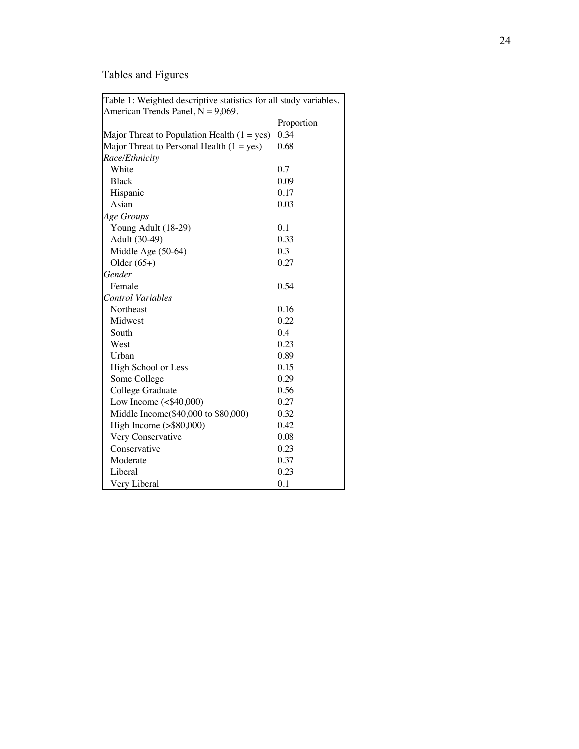## Tables and Figures

| Table 1: Weighted descriptive statistics for all study variables.<br>American Trends Panel, $N = 9,069$ . |            |  |  |  |  |  |
|-----------------------------------------------------------------------------------------------------------|------------|--|--|--|--|--|
|                                                                                                           | Proportion |  |  |  |  |  |
| Major Threat to Population Health $(1 = yes)$                                                             | 0.34       |  |  |  |  |  |
| Major Threat to Personal Health $(1 = yes)$                                                               | 0.68       |  |  |  |  |  |
| Race/Ethnicity                                                                                            |            |  |  |  |  |  |
| White                                                                                                     | 0.7        |  |  |  |  |  |
| <b>Black</b>                                                                                              | 0.09       |  |  |  |  |  |
| Hispanic                                                                                                  | 0.17       |  |  |  |  |  |
| Asian                                                                                                     | 0.03       |  |  |  |  |  |
| Age Groups                                                                                                |            |  |  |  |  |  |
| Young Adult (18-29)                                                                                       | 0.1        |  |  |  |  |  |
| Adult (30-49)                                                                                             | 0.33       |  |  |  |  |  |
| Middle Age (50-64)                                                                                        | 0.3        |  |  |  |  |  |
| Older $(65+)$                                                                                             | 0.27       |  |  |  |  |  |
| Gender                                                                                                    |            |  |  |  |  |  |
| Female                                                                                                    | 0.54       |  |  |  |  |  |
| <b>Control Variables</b>                                                                                  |            |  |  |  |  |  |
|                                                                                                           | 0.16       |  |  |  |  |  |
| Northeast<br>Midwest                                                                                      | 0.22       |  |  |  |  |  |
|                                                                                                           |            |  |  |  |  |  |
| South                                                                                                     | 0.4        |  |  |  |  |  |
| West                                                                                                      | 0.23       |  |  |  |  |  |
| Urban                                                                                                     | 0.89       |  |  |  |  |  |
| High School or Less                                                                                       | 0.15       |  |  |  |  |  |
| Some College                                                                                              | 0.29       |  |  |  |  |  |
| College Graduate                                                                                          | 0.56       |  |  |  |  |  |
| Low Income $(\leq$ \$40,000)                                                                              | 0.27       |  |  |  |  |  |
| Middle Income(\$40,000 to \$80,000)                                                                       | 0.32       |  |  |  |  |  |
| High Income $(>\$80,000)$                                                                                 | 0.42       |  |  |  |  |  |
| Very Conservative                                                                                         | 0.08       |  |  |  |  |  |
| Conservative                                                                                              | 0.23       |  |  |  |  |  |
| Moderate                                                                                                  | 0.37       |  |  |  |  |  |
| Liberal                                                                                                   | 0.23       |  |  |  |  |  |
| Very Liberal                                                                                              | 0.1        |  |  |  |  |  |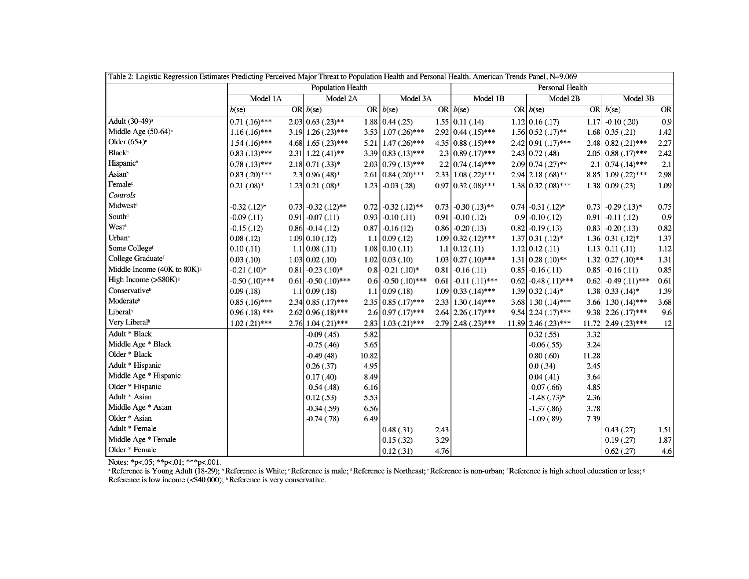| Table 2: Logistic Regression Estimates Predicting Perceived Major Threat to Population Health and Personal Health. American Trends Panel, N=9,069 |                     |  |                                   |       |                                 |      |                                |  |                            |       |                             |      |
|---------------------------------------------------------------------------------------------------------------------------------------------------|---------------------|--|-----------------------------------|-------|---------------------------------|------|--------------------------------|--|----------------------------|-------|-----------------------------|------|
|                                                                                                                                                   | Population Health   |  |                                   |       | Personal Health                 |      |                                |  |                            |       |                             |      |
|                                                                                                                                                   | Model 1A            |  | Model 2A                          |       | Model 3A                        |      | Model 1B                       |  | Model 2B                   |       | Model 3B                    |      |
|                                                                                                                                                   | $b$ (se)            |  | OR $b$ (se)                       |       | OR $b$ (se)                     |      | OR $b$ (se)                    |  | OR $b$ (se)                |       | OR $b$ (se)                 | OR   |
| Adult (30-49) <sup>a</sup>                                                                                                                        | $0.71(.16)$ ***     |  | $2.03 \mid 0.63 \; (0.23)$ **     |       | $1.88 \mid 0.44 \; (.25)$       |      | $1.55$ 0.11 (.14)              |  | $1.12 \mid 0.16 \, (.17)$  |       | $1.17 - 0.10$ (.20)         | 0.9  |
| Middle Age (50-64) <sup>a</sup>                                                                                                                   | $1.16(.16)$ ***     |  | $3.19$ 1.26 (.23)***              |       | $3.53$ 1.07 (.26)***            |      | $2.92 \mid 0.44 \; (.15)$ ***  |  | $1.56$ 0.52 (.17)**        |       | $1.68$ 0.35 (.21)           | 1.42 |
| Older $(65+)$ <sup>a</sup>                                                                                                                        | $1.54(.16)$ ***     |  | 4.68 1.65 $(.23)$ ***             |       | $5.21$   1.47 (.26)***          |      | 4.35 0.88 $(.15)$ ***          |  | 2.42 0.91 (.17)***         |       | 2.48 0.82 (.21)***          | 2.27 |
| <b>Black</b> <sup>b</sup>                                                                                                                         | $0.83$ $(.13)$ ***  |  | $2.31$ 1.22 $(.41)$ <sup>**</sup> |       | $3.39 \mid 0.83 \; (.13)$ ***   |      | $2.3$ 0.89 (.17)***            |  | $2.43$ 0.72 (.48)          |       | $2.05$ 0.88 $(.17)$ ***     | 2.42 |
| <b>Hispanic</b> <sup>b</sup>                                                                                                                      | $0.78(.13)$ ***     |  | $2.18 \mid 0.71 \; (0.33)^*$      |       | $2.03 \mid 0.79 \; (.13)$ ***   |      | $2.2 \mid 0.74 \; (.14)^{***}$ |  | $2.09$ 0.74 (.27)**        |       | $2.1 \, 0.74 \, (.14)$ ***  | 2.1  |
| Asianb                                                                                                                                            | $0.83$ $(.20)$ ***  |  | $2.3 0.96(.48)*$                  |       | $2.61 \mid 0.84 \; (.20)$ ***   |      | $2.33$ 1.08 $(.22)$ ***        |  | $2.94$ 2.18 $(.68)$ **     |       | 8.85 1.09 (.22)***          | 2.98 |
| Female <sup>c</sup>                                                                                                                               | $0.21$ $(.08)*$     |  | $1.23 \mid 0.21 \; (0.08)^*$      |       | $1.23$ -0.03 (.28)              |      | $0.97$ 0.32 $(.08)$ ***        |  | $1.38$ 0.32 $(.08)$ ***    |       | 1.38 0.09 (.23)             | 1.09 |
| Controls                                                                                                                                          |                     |  |                                   |       |                                 |      |                                |  |                            |       |                             |      |
| Midwest <sup>d</sup>                                                                                                                              | $-0.32$ (.12)*      |  | $0.73$ -0.32 $(.12)$ **           |       | $0.72$ -0.32 (.12)**            |      | $0.73$ -0.30 $(.13)$ **        |  | $0.74$ -0.31 $(.12)*$      |       | $0.73$ -0.29 $(.13)*$       | 0.75 |
| South <sup>d</sup>                                                                                                                                | $-0.09(0.11)$       |  | $0.91$ -0.07 (.11)                | 0.93  | $-0.10(0.11)$                   |      | $0.91$ -0.10 (.12)             |  | $0.9 - 0.10(0.12)$         |       | $0.91$ -0.11 (.12)          | 0.9  |
| West <sup>d</sup>                                                                                                                                 | $-0.15$ $(.12)$     |  | $0.86$ -0.14 $(.12)$              |       | $0.87$ -0.16 (12)               |      | $0.86$ -0.20 (.13)             |  | $0.82$ -0.19 (.13)         |       | $0.83$ -0.20 (.13)          | 0.82 |
| Urban <sup>e</sup>                                                                                                                                | 0.08(0.12)          |  | $1.09 \mid 0.10 \; (.12)$         |       | $1.1 \mid 0.09 \; (.12)$        |      | $1.09$ 0.32 $(.12)$ ***        |  | $1.37 \, 0.31 \, (0.12)^*$ |       | $1.36$ 0.31 $(.12)*$        | 1.37 |
| Some Collegef                                                                                                                                     | 0.10(0.11)          |  | 1.1 0.08(.11)                     |       | $1.08 \mid 0.10 \, (.11)$       |      | $1.1 \mid 0.12 \, (.11)$       |  | $1.12 \mid 0.12 \; (0.11)$ |       | $1.13$ 0.11 (.11)           | 1.12 |
| College Graduatef                                                                                                                                 | 0.03(0.10)          |  | $1.03 \mid 0.02 \; (.10)$         |       | $1.02 \mid 0.03 \ldots (10)$    |      | $1.03$ 0.27 $(.10)$ ***        |  | $1.31 \ 0.28 \ (.10)$ **   |       | $1.32 \, 0.27 \, (0.10)$ ** | 1.31 |
| Middle Income (40K to 80K) <sup>g</sup>                                                                                                           | $-0.21$ (.10)*      |  | $0.81$ -0.23 $(.10)^*$            |       | $0.8$ -0.21 $(.10)^*$           |      | $0.81$ -0.16 (.11)             |  | $0.85$ -0.16 (.11)         |       | $0.85$ -0.16 (.11)          | 0.85 |
| High Income $(>\$80K)g$                                                                                                                           | $-0.50$ $(.10)$ *** |  | $0.61$ -0.50 $(.10)$ ***          |       | $0.6$ -0.50 (.10)***            |      | $0.61$ -0.11 $(.11)$ ***       |  | $0.62$ -0.48 $(.11)$ ***   |       | $0.62$ -0.49 $(.11)$ ***    | 0.61 |
| Conservative <sup>h</sup>                                                                                                                         | 0.09(0.18)          |  | 1.1 0.09(.18)                     |       | $1.1 \mid 0.09 \, (.18)$        |      | $1.09$ 0.33 $(.14)$ ***        |  | $1.39$ 0.32 $(.14)*$       |       | $1.38$ 0.33 $(.14)*$        | 1.39 |
| Moderateh                                                                                                                                         | $0.85(.16)$ ***     |  | $2.34 0.85(.17)***$               |       | $2.35 \mid 0.85 \; (.17)^{***}$ |      | $2.33$ 1.30 (.14)***           |  | $3.68$ 1.30 $(.14)$ ***    |       | 3.66 1.30 $(.14)$ ***       | 3.68 |
| Liberalh                                                                                                                                          | $0.96(.18)$ ***     |  | $2.62$ 0.96 (.18)***              |       | $2.6 \mid 0.97 \, (.17)$ ***    |      | $2.64$ 2.26 $(.17)$ ***        |  | $9.54$ 2.24 $(.17)$ ***    |       | 9.38 2.26 $(.17)$ ***       | 9.6  |
| Very Liberal <sup>h</sup>                                                                                                                         | $1.02$ $(.21)$ ***  |  | $2.76$ 1.04 $(.21)$ ***           |       | $2.83$ 1.03 (.21)***            |      | 2.79 2.48 (.23)***             |  | 11.89 2.46 (.23)***        |       | 11.72 2.49 (.23)***         | 12   |
| Adult * Black                                                                                                                                     |                     |  | $-0.09(0.45)$                     | 5.82  |                                 |      |                                |  | 0.32(.55)                  | 3.32  |                             |      |
| Middle Age * Black                                                                                                                                |                     |  | $-0.75(0.46)$                     | 5.65  |                                 |      |                                |  | $-0.06(.55)$               | 3.24  |                             |      |
| Older * Black                                                                                                                                     |                     |  | $-0.49(48)$                       | 10.82 |                                 |      |                                |  | 0.80(.60)                  | 11.28 |                             |      |
| Adult * Hispanic                                                                                                                                  |                     |  | 0.26(.37)                         | 4.95  |                                 |      |                                |  | 0.0(0.34)                  | 2.45  |                             |      |
| Middle Age * Hispanic                                                                                                                             |                     |  | 0.17(0.40)                        | 8.49  |                                 |      |                                |  | 0.04(0.41)                 | 3.64  |                             |      |
| Older * Hispanic                                                                                                                                  |                     |  | $-0.54(0.48)$                     | 6.16  |                                 |      |                                |  | $-0.07$ $(.66)$            | 4.85  |                             |      |
| Adult * Asian                                                                                                                                     |                     |  | 0.12(0.53)                        | 5.53  |                                 |      |                                |  | $-1.48$ (.73)*             | 2.36  |                             |      |
| Middle Age * Asian                                                                                                                                |                     |  | $-0.34$ $(.59)$                   | 6.56  |                                 |      |                                |  | $-1.37(.86)$               | 3.78  |                             |      |
| Older * Asian                                                                                                                                     |                     |  | $-0.74$ $(.78)$                   | 6.49  |                                 |      |                                |  | $-1.09(.89)$               | 7.39  |                             |      |
| Adult * Female                                                                                                                                    |                     |  |                                   |       | 0.48(.31)                       | 2.43 |                                |  |                            |       | 0.43(0.27)                  | 1.51 |
| Middle Age * Female                                                                                                                               |                     |  |                                   |       | 0.15(.32)                       | 3.29 |                                |  |                            |       | 0.19(0.27)                  | 1.87 |
| Older * Female                                                                                                                                    |                     |  |                                   |       | 0.12(0.31)                      | 4.76 |                                |  |                            |       | $0.62$ (.27)                | 4.6  |

Notes: \*p<.05; \*\*p<.01; \*\*\*p<.001.<br>
\*Reference is Young Adult (18-29); b Reference is White; c Reference is male; d Reference is Northeast; c Reference is non-urban; f Reference is high school education or less; a Referenc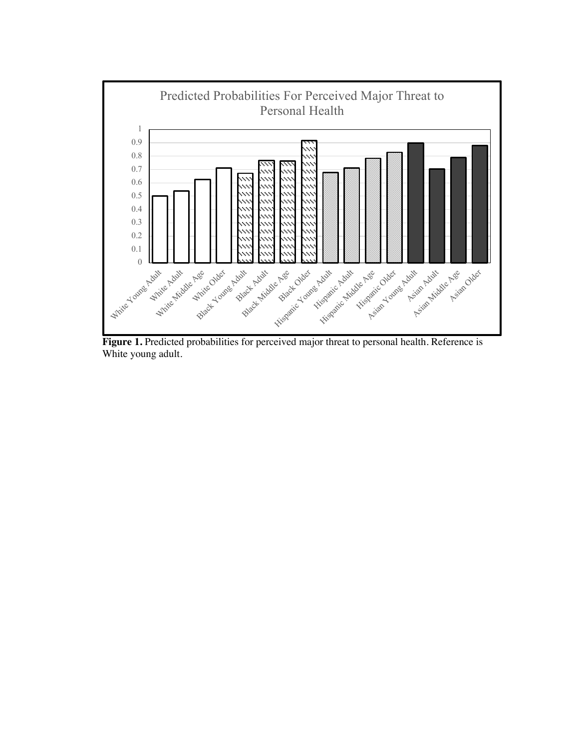

**Figure 1.** Predicted probabilities for perceived major threat to personal health. Reference is White young adult.